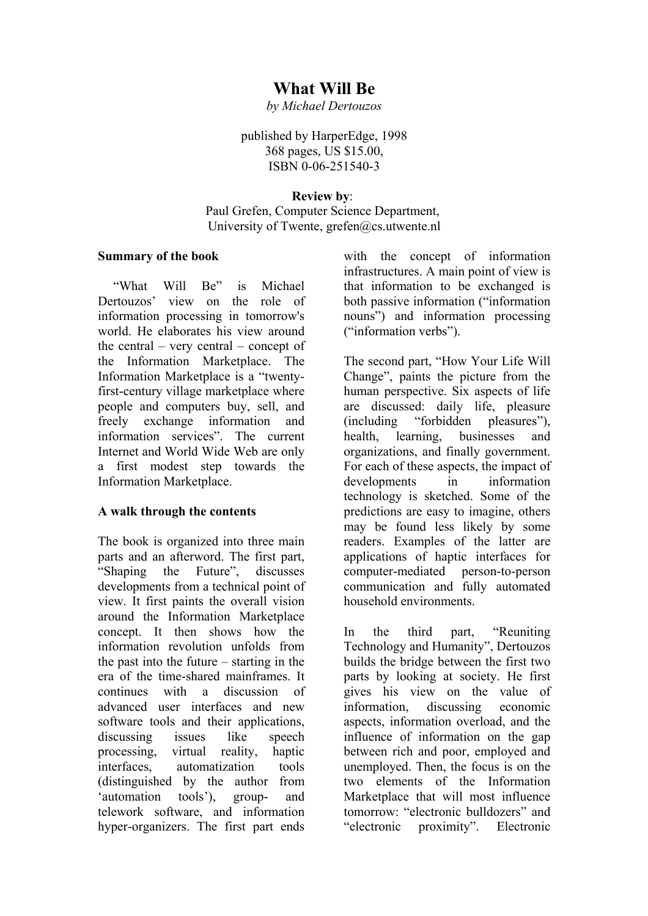# **What Will Be**

*by Michael Dertouzos*

published by HarperEdge, 1998 368 pages, US \$15.00, ISBN 0-06-251540-3

#### **Review by**:

Paul Grefen, Computer Science Department, University of Twente, [grefen@cs.utwente.nl](mailto:grefen@cs.utwente.nl)

#### **Summary of the book**

 "What Will Be" is Michael Dertouzos' view on the role of information processing in tomorrow's world. He elaborates his view around the central – very central – concept of the Information Marketplace. The Information Marketplace is a "twentyfirst-century village marketplace where people and computers buy, sell, and freely exchange information and information services". The current Internet and World Wide Web are only a first modest step towards the Information Marketplace.

## **A walk through the contents**

The book is organized into three main parts and an afterword. The first part, "Shaping the Future", discusses developments from a technical point of view. It first paints the overall vision around the Information Marketplace concept. It then shows how the information revolution unfolds from the past into the future – starting in the era of the time-shared mainframes. It continues with a discussion of advanced user interfaces and new software tools and their applications. discussing issues like speech processing, virtual reality, haptic interfaces, automatization tools (distinguished by the author from 'automation tools'), group- and telework software, and information hyper-organizers. The first part ends

with the concept of information infrastructures. A main point of view is that information to be exchanged is both passive information ("information nouns") and information processing ("information verbs").

The second part, "How Your Life Will Change", paints the picture from the human perspective. Six aspects of life are discussed: daily life, pleasure (including "forbidden pleasures"), health, learning, businesses and organizations, and finally government. For each of these aspects, the impact of developments in information technology is sketched. Some of the predictions are easy to imagine, others may be found less likely by some readers. Examples of the latter are applications of haptic interfaces for computer-mediated person-to-person communication and fully automated household environments.

In the third part, "Reuniting Technology and Humanity", Dertouzos builds the bridge between the first two parts by looking at society. He first gives his view on the value of information, discussing economic aspects, information overload, and the influence of information on the gap between rich and poor, employed and unemployed. Then, the focus is on the two elements of the Information Marketplace that will most influence tomorrow: "electronic bulldozers" and "electronic proximity". Electronic